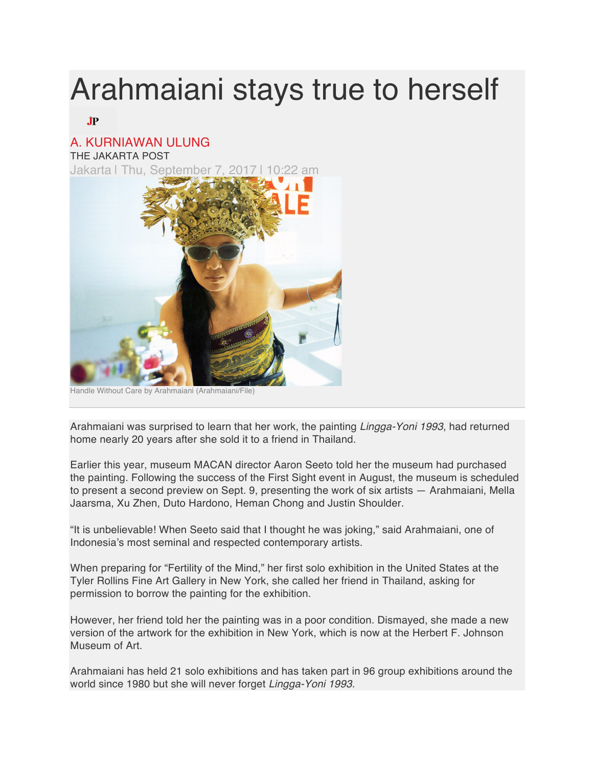## Arahmaiani stays true to herself

## $J\!\!P$

## A. KURNIAWAN ULUNG

THE JAKARTA POST

Jakarta | Thu, September 7, 2017



Handle Without Care by Arahmaiani (Arahmaiani/File)

Arahmaiani was surprised to learn that her work, the painting *Lingga-Yoni 1993*, had returned home nearly 20 years after she sold it to a friend in Thailand.

Earlier this year, museum MACAN director Aaron Seeto told her the museum had purchased the painting. Following the success of the First Sight event in August, the museum is scheduled to present a second preview on Sept. 9, presenting the work of six artists — Arahmaiani, Mella Jaarsma, Xu Zhen, Duto Hardono, Heman Chong and Justin Shoulder.

"It is unbelievable! When Seeto said that I thought he was joking," said Arahmaiani, one of Indonesia's most seminal and respected contemporary artists.

When preparing for "Fertility of the Mind," her first solo exhibition in the United States at the Tyler Rollins Fine Art Gallery in New York, she called her friend in Thailand, asking for permission to borrow the painting for the exhibition.

However, her friend told her the painting was in a poor condition. Dismayed, she made a new version of the artwork for the exhibition in New York, which is now at the Herbert F. Johnson Museum of Art.

Arahmaiani has held 21 solo exhibitions and has taken part in 96 group exhibitions around the world since 1980 but she will never forget *Lingga-Yoni 1993.*